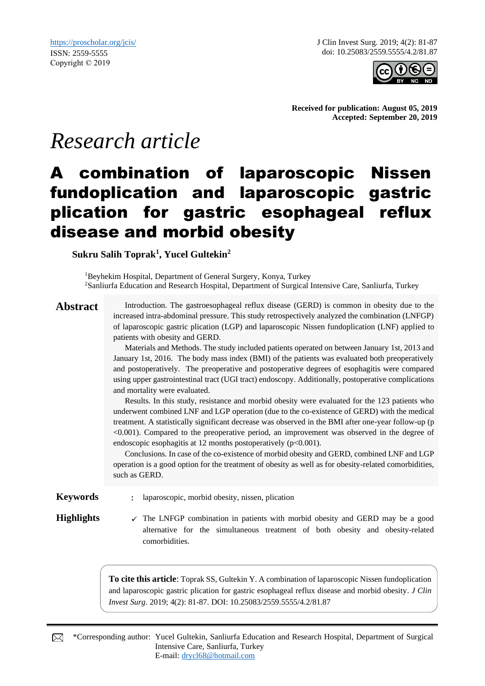J Clin Invest Surg. 2019; 4(2): 81-87 doi: 10.25083/2559.5555/4.2/81.87



**Received for publication: August 05, 2019 Accepted: September 20, 2019**

# *Research article*

## A combination of laparoscopic Nissen fundoplication and laparoscopic gastric plication for gastric esophageal reflux disease and morbid obesity

**Sukru Salih Toprak<sup>1</sup> , Yucel Gultekin<sup>2</sup>** 

<sup>1</sup>Beyhekim Hospital, Department of General Surgery, Konya, Turkey <sup>2</sup>Sanliurfa Education and Research Hospital, Department of Surgical Intensive Care, Sanliurfa, Turkey

Abstract Introduction. The gastroesophageal reflux disease (GERD) is common in obesity due to the increased intra-abdominal pressure. This study retrospectively analyzed the combination (LNFGP) of laparoscopic gastric plication (LGP) and laparoscopic Nissen fundoplication (LNF) applied to patients with obesity and GERD.

> Materials and Methods. The study included patients operated on between January 1st, 2013 and January 1st, 2016. The body mass index (BMI) of the patients was evaluated both preoperatively and postoperatively. The preoperative and postoperative degrees of esophagitis were compared using upper gastrointestinal tract (UGI tract) endoscopy. Additionally, postoperative complications and mortality were evaluated.

> Results. In this study, resistance and morbid obesity were evaluated for the 123 patients who underwent combined LNF and LGP operation (due to the co-existence of GERD) with the medical treatment. A statistically significant decrease was observed in the BMI after one-year follow-up (p <0.001). Compared to the preoperative period, an improvement was observed in the degree of endoscopic esophagitis at 12 months postoperatively (p<0.001).

> Conclusions. In case of the co-existence of morbid obesity and GERD, combined LNF and LGP operation is a good option for the treatment of obesity as well as for obesity-related comorbidities, such as GERD.

**Keywords** : laparoscopic, morbid obesity, nissen, plication

**Highlights**  $\checkmark$  The LNFGP combination in patients with morbid obesity and GERD may be a good alternative for the simultaneous treatment of both obesity and obesity-related comorbidities.

> **To cite this article**: Toprak SS, Gultekin Y. A combination of laparoscopic Nissen fundoplication and laparoscopic gastric plication for gastric esophageal reflux disease and morbid obesity. *J Clin Invest Surg*. 2019; 4(2): 81-87. DOI: 10.25083/2559.5555/4.2/81.87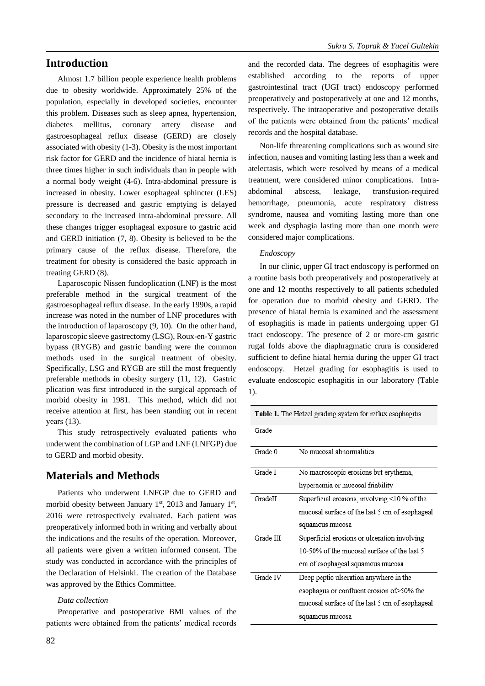## **Introduction**

Almost 1.7 billion people experience health problems due to obesity worldwide. Approximately 25% of the population, especially in developed societies, encounter this problem. Diseases such as sleep apnea, hypertension, diabetes mellitus, coronary artery disease and gastroesophageal reflux disease (GERD) are closely associated with obesity (1-3). Obesity is the most important risk factor for GERD and the incidence of hiatal hernia is three times higher in such individuals than in people with a normal body weight (4-6). Intra-abdominal pressure is increased in obesity. Lower esophageal sphincter (LES) pressure is decreased and gastric emptying is delayed secondary to the increased intra-abdominal pressure. All these changes trigger esophageal exposure to gastric acid and GERD initiation (7, 8). Obesity is believed to be the primary cause of the reflux disease. Therefore, the treatment for obesity is considered the basic approach in treating GERD (8).

Laparoscopic Nissen fundoplication (LNF) is the most preferable method in the surgical treatment of the gastroesophageal reflux disease. In the early 1990s, a rapid increase was noted in the number of LNF procedures with the introduction of laparoscopy (9, 10). On the other hand, laparoscopic sleeve gastrectomy (LSG), Roux-en-Y gastric bypass (RYGB) and gastric banding were the common methods used in the surgical treatment of obesity. Specifically, LSG and RYGB are still the most frequently preferable methods in obesity surgery (11, 12). Gastric plication was first introduced in the surgical approach of morbid obesity in 1981. This method, which did not receive attention at first, has been standing out in recent years (13).

This study retrospectively evaluated patients who underwent the combination of LGP and LNF (LNFGP) due to GERD and morbid obesity.

## **Materials and Methods**

Patients who underwent LNFGP due to GERD and morbid obesity between January  $1<sup>st</sup>$ , 2013 and January  $1<sup>st</sup>$ , 2016 were retrospectively evaluated. Each patient was preoperatively informed both in writing and verbally about the indications and the results of the operation. Moreover, all patients were given a written informed consent. The study was conducted in accordance with the principles of the Declaration of Helsinki. The creation of the Database was approved by the Ethics Committee.

#### *Data collection*

Preoperative and postoperative BMI values of the patients were obtained from the patients' medical records and the recorded data. The degrees of esophagitis were established according to the reports of upper gastrointestinal tract (UGI tract) endoscopy performed preoperatively and postoperatively at one and 12 months, respectively. The intraoperative and postoperative details of the patients were obtained from the patients' medical records and the hospital database.

Non-life threatening complications such as wound site infection, nausea and vomiting lasting less than a week and atelectasis, which were resolved by means of a medical treatment, were considered minor complications. Intraabdominal abscess, leakage, transfusion-required hemorrhage, pneumonia, acute respiratory distress syndrome, nausea and vomiting lasting more than one week and dysphagia lasting more than one month were considered major complications.

#### *Endoscopy*

In our clinic, upper GI tract endoscopy is performed on a routine basis both preoperatively and postoperatively at one and 12 months respectively to all patients scheduled for operation due to morbid obesity and GERD. The presence of hiatal hernia is examined and the assessment of esophagitis is made in patients undergoing upper GI tract endoscopy. The presence of 2 or more-cm gastric rugal folds above the diaphragmatic crura is considered sufficient to define hiatal hernia during the upper GI tract endoscopy. Hetzel grading for esophagitis is used to evaluate endoscopic esophagitis in our laboratory (Table 1).

| <b>Table 1.</b> The Hetzel grading system for reflux esophagitis |                                                |  |  |  |  |
|------------------------------------------------------------------|------------------------------------------------|--|--|--|--|
| Grade                                                            |                                                |  |  |  |  |
| Grade 0                                                          | No mucosal abnormalities                       |  |  |  |  |
| Grade I                                                          | No macroscopic erosions but erythema,          |  |  |  |  |
|                                                                  | hyperaemia or mucosal friability               |  |  |  |  |
| GradeII                                                          | Superficial erosions, involving <10 % of the   |  |  |  |  |
|                                                                  | mucosal surface of the last 5 cm of esophageal |  |  |  |  |
|                                                                  | squamous mucosa                                |  |  |  |  |
| Grade III                                                        | Superficial erosions or ulceration involving   |  |  |  |  |
|                                                                  | 10-50% of the mucosal surface of the last 5    |  |  |  |  |
|                                                                  | cm of esophageal squamous mucosa               |  |  |  |  |
| Grade IV                                                         | Deep peptic ulseration anywhere in the         |  |  |  |  |
|                                                                  | esophagus or confluent erosion of 50% the      |  |  |  |  |
|                                                                  | mucosal surface of the last 5 cm of esophageal |  |  |  |  |
|                                                                  | squamous mucosa                                |  |  |  |  |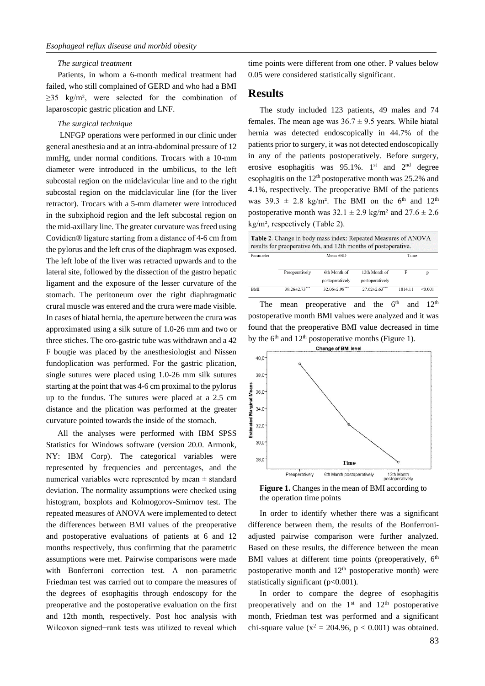#### *The surgical treatment*

Patients, in whom a 6-month medical treatment had failed, who still complained of GERD and who had a BMI  $\geq$ 35 kg/m<sup>2</sup>, were selected for the combination of laparoscopic gastric plication and LNF.

#### *The surgical technique*

LNFGP operations were performed in our clinic under general anesthesia and at an intra-abdominal pressure of 12 mmHg, under normal conditions. Trocars with a 10-mm diameter were introduced in the umbilicus, to the left subcostal region on the midclavicular line and to the right subcostal region on the midclavicular line (for the liver retractor). Trocars with a 5-mm diameter were introduced in the subxiphoid region and the left subcostal region on the mid-axillary line. The greater curvature was freed using Covidien® ligature starting from a distance of 4-6 cm from the pylorus and the left crus of the diaphragm was exposed. The left lobe of the liver was retracted upwards and to the lateral site, followed by the dissection of the gastro hepatic ligament and the exposure of the lesser curvature of the stomach. The peritoneum over the right diaphragmatic crural muscle was entered and the crura were made visible. In cases of hiatal hernia, the aperture between the crura was approximated using a silk suture of 1.0-26 mm and two or three stiches. The oro-gastric tube was withdrawn and a 42 F bougie was placed by the anesthesiologist and Nissen fundoplication was performed. For the gastric plication, single sutures were placed using 1.0-26 mm silk sutures starting at the point that was 4-6 cm proximal to the pylorus up to the fundus. The sutures were placed at a 2.5 cm distance and the plication was performed at the greater curvature pointed towards the inside of the stomach.

All the analyses were performed with IBM SPSS Statistics for Windows software (version 20.0. Armonk, NY: IBM Corp). The categorical variables were represented by frequencies and percentages, and the numerical variables were represented by mean  $\pm$  standard deviation. The normality assumptions were checked using histogram, boxplots and Kolmogorov-Smirnov test. The repeated measures of ANOVA were implemented to detect the differences between BMI values of the preoperative and postoperative evaluations of patients at 6 and 12 months respectively, thus confirming that the parametric assumptions were met. Pairwise comparisons were made with Bonferroni correction test. A non–parametric Friedman test was carried out to compare the measures of the degrees of esophagitis through endoscopy for the preoperative and the postoperative evaluation on the first and 12th month, respectively. Post hoc analysis with Wilcoxon signed−rank tests was utilized to reveal which time points were different from one other. P values below 0.05 were considered statistically significant.

### **Results**

The study included 123 patients, 49 males and 74 females. The mean age was  $36.7 \pm 9.5$  years. While hiatal hernia was detected endoscopically in 44.7% of the patients prior to surgery, it was not detected endoscopically in any of the patients postoperatively. Before surgery, erosive esophagitis was  $95.1\%$ . 1<sup>st</sup> and 2<sup>nd</sup> degree esophagitis on the  $12<sup>th</sup>$  postoperative month was 25.2% and 4.1%, respectively. The preoperative BMI of the patients was  $39.3 \pm 2.8$  kg/m<sup>2</sup>. The BMI on the 6<sup>th</sup> and 12<sup>th</sup> postoperative month was  $32.1 \pm 2.9$  kg/m<sup>2</sup> and  $27.6 \pm 2.6$ kg/m², respectively (Table 2).

Table 2. Change in body mass index: Repeated Measures of ANOVA results for preoperative 6th, and 12th months of postoperative. Parameter Mean +SD Time

|     | Preoperatively       | 6th Month of         | 12th Month of        |         |         |
|-----|----------------------|----------------------|----------------------|---------|---------|
|     |                      | postoperatively      | postoperatively      |         |         |
| BMI | $39.26 \pm 2.73$ *** | $32.06 \pm 2.98$ *** | $27.62 \pm 2.63$ *** | 1814.11 | < 0.001 |

The mean preoperative and the  $6<sup>th</sup>$  and  $12<sup>th</sup>$ postoperative month BMI values were analyzed and it was found that the preoperative BMI value decreased in time by the  $6<sup>th</sup>$  and  $12<sup>th</sup>$  postoperative months (Figure 1).



**Figure 1.** Changes in the mean of BMI according to the operation time points

In order to identify whether there was a significant difference between them, the results of the Bonferroniadjusted pairwise comparison were further analyzed. Based on these results, the difference between the mean BMI values at different time points (preoperatively,  $6<sup>th</sup>$ postoperative month and  $12<sup>th</sup>$  postoperative month) were statistically significant (p<0.001).

In order to compare the degree of esophagitis preoperatively and on the  $1<sup>st</sup>$  and  $12<sup>th</sup>$  postoperative month, Friedman test was performed and a significant chi-square value ( $x^2 = 204.96$ ,  $p < 0.001$ ) was obtained.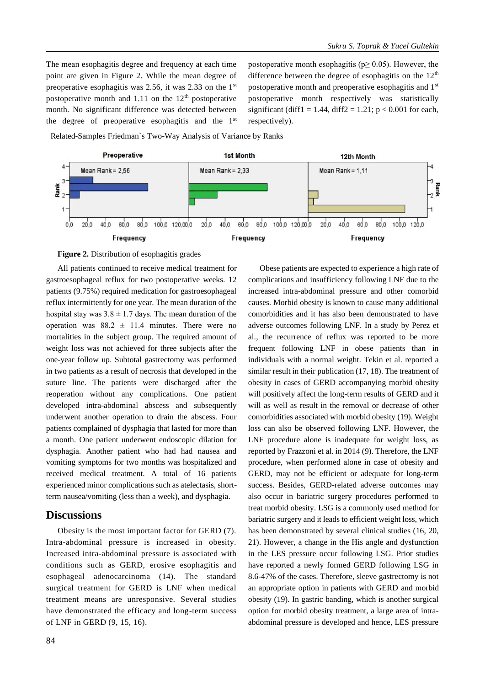The mean esophagitis degree and frequency at each time point are given in Figure 2. While the mean degree of preoperative esophagitis was 2.56, it was 2.33 on the 1st postoperative month and 1.11 on the  $12<sup>th</sup>$  postoperative month. No significant difference was detected between the degree of preoperative esophagitis and the 1st

postoperative month esophagitis ( $p \ge 0.05$ ). However, the difference between the degree of esophagitis on the  $12<sup>th</sup>$ postoperative month and preoperative esophagitis and 1st postoperative month respectively was statistically significant (diff1 = 1.44, diff2 = 1.21;  $p < 0.001$  for each, respectively).

Related-Samples Friedman`s Two-Way Analysis of Variance by Ranks





All patients continued to receive medical treatment for gastroesophageal reflux for two postoperative weeks. 12 patients (9.75%) required medication for gastroesophageal reflux intermittently for one year. The mean duration of the hospital stay was  $3.8 \pm 1.7$  days. The mean duration of the operation was  $88.2 \pm 11.4$  minutes. There were no mortalities in the subject group. The required amount of weight loss was not achieved for three subjects after the one-year follow up. Subtotal gastrectomy was performed in two patients as a result of necrosis that developed in the suture line. The patients were discharged after the reoperation without any complications. One patient developed intra-abdominal abscess and subsequently underwent another operation to drain the abscess. Four patients complained of dysphagia that lasted for more than a month. One patient underwent endoscopic dilation for dysphagia. Another patient who had had nausea and vomiting symptoms for two months was hospitalized and received medical treatment. A total of 16 patients experienced minor complications such as atelectasis, shortterm nausea/vomiting (less than a week), and dysphagia.

### **Discussions**

Obesity is the most important factor for GERD (7). Intra-abdominal pressure is increased in obesity. Increased intra-abdominal pressure is associated with conditions such as GERD, erosive esophagitis and esophageal adenocarcinoma (14). The standard surgical treatment for GERD is LNF when medical treatment means are unresponsive. Several studies have demonstrated the efficacy and long-term success of LNF in GERD (9, 15, 16).

Obese patients are expected to experience a high rate of complications and insufficiency following LNF due to the increased intra-abdominal pressure and other comorbid causes. Morbid obesity is known to cause many additional comorbidities and it has also been demonstrated to have adverse outcomes following LNF. In a study by Perez et al., the recurrence of reflux was reported to be more frequent following LNF in obese patients than in individuals with a normal weight. Tekin et al. reported a similar result in their publication (17, 18). The treatment of obesity in cases of GERD accompanying morbid obesity will positively affect the long-term results of GERD and it will as well as result in the removal or decrease of other comorbidities associated with morbid obesity (19). Weight loss can also be observed following LNF. However, the LNF procedure alone is inadequate for weight loss, as reported by Frazzoni et al. in 2014 (9). Therefore, the LNF procedure, when performed alone in case of obesity and GERD, may not be efficient or adequate for long-term success. Besides, GERD-related adverse outcomes may also occur in bariatric surgery procedures performed to treat morbid obesity. LSG is a commonly used method for bariatric surgery and it leads to efficient weight loss, which has been demonstrated by several clinical studies (16, 20, 21). However, a change in the His angle and dysfunction in the LES pressure occur following LSG. Prior studies have reported a newly formed GERD following LSG in 8.6-47% of the cases. Therefore, sleeve gastrectomy is not an appropriate option in patients with GERD and morbid obesity (19). In gastric banding, which is another surgical option for morbid obesity treatment, a large area of intraabdominal pressure is developed and hence, LES pressure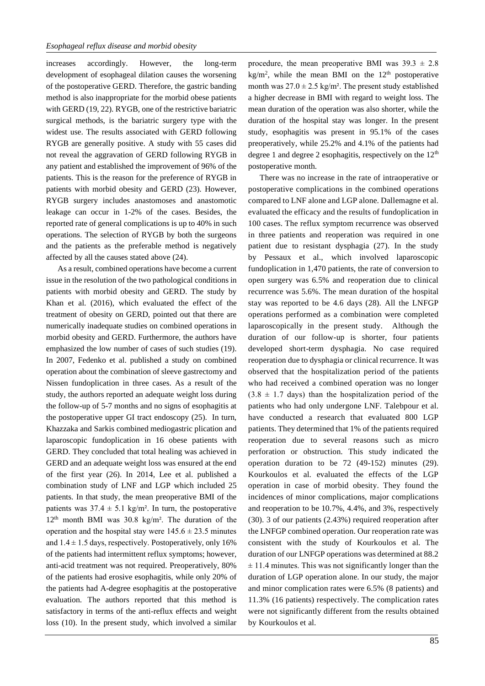increases accordingly. However, the long-term development of esophageal dilation causes the worsening of the postoperative GERD. Therefore, the gastric banding method is also inappropriate for the morbid obese patients with GERD (19, 22). RYGB, one of the restrictive bariatric surgical methods, is the bariatric surgery type with the widest use. The results associated with GERD following RYGB are generally positive. A study with 55 cases did not reveal the aggravation of GERD following RYGB in any patient and established the improvement of 96% of the patients. This is the reason for the preference of RYGB in patients with morbid obesity and GERD (23). However, RYGB surgery includes anastomoses and anastomotic leakage can occur in 1-2% of the cases. Besides, the reported rate of general complications is up to 40% in such operations. The selection of RYGB by both the surgeons and the patients as the preferable method is negatively affected by all the causes stated above (24).

As a result, combined operations have become a current issue in the resolution of the two pathological conditions in patients with morbid obesity and GERD. The study by Khan et al. (2016), which evaluated the effect of the treatment of obesity on GERD, pointed out that there are numerically inadequate studies on combined operations in morbid obesity and GERD. Furthermore, the authors have emphasized the low number of cases of such studies (19). In 2007, Fedenko et al. published a study on combined operation about the combination of sleeve gastrectomy and Nissen fundoplication in three cases. As a result of the study, the authors reported an adequate weight loss during the follow-up of 5-7 months and no signs of esophagitis at the postoperative upper GI tract endoscopy (25). In turn, Khazzaka and Sarkis combined mediogastric plication and laparoscopic fundoplication in 16 obese patients with GERD. They concluded that total healing was achieved in GERD and an adequate weight loss was ensured at the end of the first year (26). In 2014, Lee et al. published a combination study of LNF and LGP which included 25 patients. In that study, the mean preoperative BMI of the patients was  $37.4 \pm 5.1$  kg/m<sup>2</sup>. In turn, the postoperative  $12<sup>th</sup>$  month BMI was 30.8 kg/m<sup>2</sup>. The duration of the operation and the hospital stay were  $145.6 \pm 23.5$  minutes and  $1.4 \pm 1.5$  days, respectively. Postoperatively, only 16% of the patients had intermittent reflux symptoms; however, anti-acid treatment was not required. Preoperatively, 80% of the patients had erosive esophagitis, while only 20% of the patients had A-degree esophagitis at the postoperative evaluation. The authors reported that this method is satisfactory in terms of the anti-reflux effects and weight loss (10). In the present study, which involved a similar

procedure, the mean preoperative BMI was  $39.3 \pm 2.8$  $kg/m<sup>2</sup>$ , while the mean BMI on the  $12<sup>th</sup>$  postoperative month was  $27.0 \pm 2.5$  kg/m<sup>2</sup>. The present study established a higher decrease in BMI with regard to weight loss. The mean duration of the operation was also shorter, while the duration of the hospital stay was longer. In the present study, esophagitis was present in 95.1% of the cases preoperatively, while 25.2% and 4.1% of the patients had degree 1 and degree 2 esophagitis, respectively on the 12<sup>th</sup> postoperative month.

There was no increase in the rate of intraoperative or postoperative complications in the combined operations compared to LNF alone and LGP alone. Dallemagne et al. evaluated the efficacy and the results of fundoplication in 100 cases. The reflux symptom recurrence was observed in three patients and reoperation was required in one patient due to resistant dysphagia (27). In the study by Pessaux et al., which involved laparoscopic fundoplication in 1,470 patients, the rate of conversion to open surgery was 6.5% and reoperation due to clinical recurrence was 5.6%. The mean duration of the hospital stay was reported to be 4.6 days (28). All the LNFGP operations performed as a combination were completed laparoscopically in the present study. Although the duration of our follow-up is shorter, four patients developed short-term dysphagia. No case required reoperation due to dysphagia or clinical recurrence. It was observed that the hospitalization period of the patients who had received a combined operation was no longer  $(3.8 \pm 1.7)$  days) than the hospitalization period of the patients who had only undergone LNF. Talebpour et al. have conducted a research that evaluated 800 LGP patients. They determined that 1% of the patients required reoperation due to several reasons such as micro perforation or obstruction. This study indicated the operation duration to be 72 (49-152) minutes (29). Kourkoulos et al. evaluated the effects of the LGP operation in case of morbid obesity. They found the incidences of minor complications, major complications and reoperation to be 10.7%, 4.4%, and 3%, respectively (30). 3 of our patients (2.43%) required reoperation after the LNFGP combined operation. Our reoperation rate was consistent with the study of Kourkoulos et al. The duration of our LNFGP operations was determined at 88.2  $±$  11.4 minutes. This was not significantly longer than the duration of LGP operation alone. In our study, the major and minor complication rates were 6.5% (8 patients) and 11.3% (16 patients) respectively. The complication rates were not significantly different from the results obtained by Kourkoulos et al.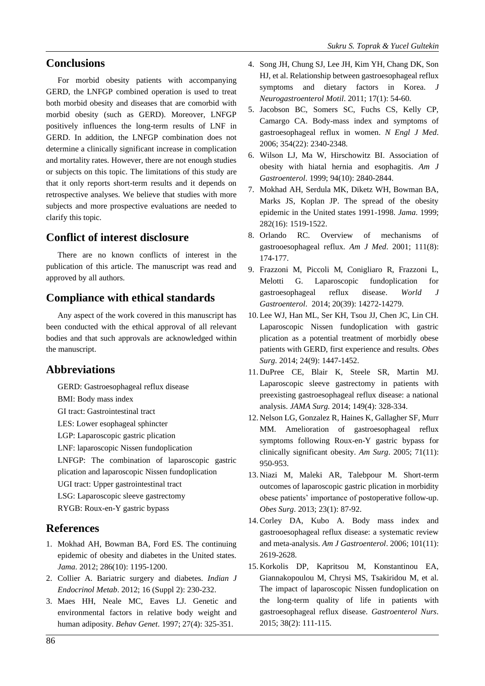## **Conclusions**

For morbid obesity patients with accompanying GERD, the LNFGP combined operation is used to treat both morbid obesity and diseases that are comorbid with morbid obesity (such as GERD). Moreover, LNFGP positively influences the long-term results of LNF in GERD. In addition, the LNFGP combination does not determine a clinically significant increase in complication and mortality rates. However, there are not enough studies or subjects on this topic. The limitations of this study are that it only reports short-term results and it depends on retrospective analyses. We believe that studies with more subjects and more prospective evaluations are needed to clarify this topic.

## **Conflict of interest disclosure**

There are no known conflicts of interest in the publication of this article. The manuscript was read and approved by all authors.

## **Compliance with ethical standards**

Any aspect of the work covered in this manuscript has been conducted with the ethical approval of all relevant bodies and that such approvals are acknowledged within the manuscript.

## **Abbreviations**

GERD: Gastroesophageal reflux disease

- BMI: Body mass index
- GI tract: Gastrointestinal tract

LES: Lower esophageal sphincter

LGP: Laparoscopic gastric plication

LNF: laparoscopic Nissen fundoplication

LNFGP: The combination of laparoscopic gastric plication and laparoscopic Nissen fundoplication

UGI tract: Upper gastrointestinal tract

LSG: Laparoscopic sleeve gastrectomy

RYGB: Roux-en-Y gastric bypass

## **References**

- 1. Mokhad AH, Bowman BA, Ford ES. The continuing epidemic of obesity and diabetes in the United states. *Jama*. 2012; 286(10): 1195-1200.
- 2. Collier A. Bariatric surgery and diabetes. *Indian J Endocrinol Metab*. 2012; 16 (Suppl 2): 230-232.
- 3. Maes HH, Neale MC, Eaves LJ. Genetic and environmental factors in relative body weight and human adiposity. *Behav Genet*. 1997; 27(4): 325-351.
- 4. Song JH, Chung SJ, Lee JH, Kim YH, Chang DK, Son HJ, et al. Relationship between gastroesophageal reflux symptoms and dietary factors in Korea. *J Neurogastroenterol Motil*. 2011; 17(1): 54-60.
- 5. Jacobson BC, Somers SC, Fuchs CS, Kelly CP, Camargo CA. Body-mass index and symptoms of gastroesophageal reflux in women. *N Engl J Med*. 2006; 354(22): 2340-2348.
- 6. Wilson LJ, Ma W, Hirschowitz BI. Association of obesity with hiatal hernia and esophagitis. *Am J Gastroenterol*. 1999; 94(10): 2840-2844.
- 7. Mokhad AH, Serdula MK, Diketz WH, Bowman BA, Marks JS, Koplan JP. The spread of the obesity epidemic in the United states 1991-1998. *Jama*. 1999; 282(16): 1519-1522.
- 8. Orlando RC. Overview of mechanisms of gastrooesophageal reflux. *Am J Med*. 2001; 111(8): 174-177.
- 9. Frazzoni M, Piccoli M, Conigliaro R, Frazzoni L, Melotti G. Laparoscopic fundoplication for gastroesophageal reflux disease. *World J Gastroenterol*. 2014; 20(39): 14272-14279.
- 10. Lee WJ, Han ML, Ser KH, Tsou JJ, Chen JC, Lin CH. Laparoscopic Nissen fundoplication with gastric plication as a potential treatment of morbidly obese patients with GERD, first experience and results. *Obes Surg*. 2014; 24(9): 1447-1452.
- 11. DuPree CE, Blair K, Steele SR, Martin MJ. Laparoscopic sleeve gastrectomy in patients with preexisting gastroesophageal reflux disease: a national analysis. *JAMA Surg*. 2014; 149(4): 328-334.
- 12. Nelson LG, Gonzalez R, Haines K, Gallagher SF, Murr MM. Amelioration of gastroesophageal reflux symptoms following Roux-en-Y gastric bypass for clinically significant obesity. *Am Surg*. 2005; 71(11): 950-953.
- 13. Niazi M, Maleki AR, Talebpour M. Short-term outcomes of laparoscopic gastric plication in morbidity obese patients' importance of postoperative follow-up. *Obes Surg*. 2013; 23(1): 87-92.
- 14. Corley DA, Kubo A. Body mass index and gastrooesophageal reflux disease: a systematic review and meta-analysis. *Am J Gastroenterol*. 2006; 101(11): 2619-2628.
- 15. Korkolis DP, Kapritsou M, Konstantinou EA, Giannakopoulou M, Chrysi MS, Tsakiridou M, et al. The impact of laparoscopic Nissen fundoplication on the long-term quality of life in patients with gastroesophageal reflux disease. *Gastroenterol Nurs*. 2015; 38(2): 111-115.